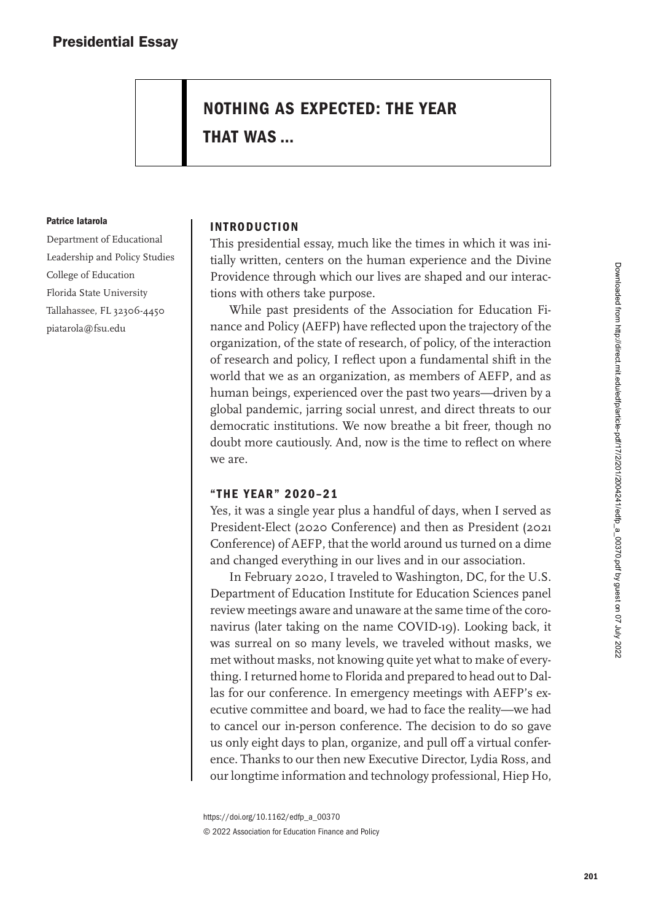# **NOTHING AS EXPECTED: THE YEAR**

**THAT WAS …**

#### **Patrice Iatarola**

Department of Educational Leadership and Policy Studies College of Education Florida State University Tallahassee, FL 32306-4450 piatarola@fsu.edu

# **INTRODUCTION**

This presidential essay, much like the times in which it was initially written, centers on the human experience and the Divine Providence through which our lives are shaped and our interactions with others take purpose.

While past presidents of the Association for Education Finance and Policy (AEFP) have reflected upon the trajectory of the organization, of the state of research, of policy, of the interaction of research and policy, I reflect upon a fundamental shift in the world that we as an organization, as members of AEFP, and as human beings, experienced over the past two years—driven by a global pandemic, jarring social unrest, and direct threats to our democratic institutions. We now breathe a bit freer, though no doubt more cautiously. And, now is the time to reflect on where we are.

# **"THE YEAR" 2020–21**

Yes, it was a single year plus a handful of days, when I served as President-Elect (2020 Conference) and then as President (2021 Conference) of AEFP, that the world around us turned on a dime and changed everything in our lives and in our association.

In February 2020, I traveled to Washington, DC, for the U.S. Department of Education Institute for Education Sciences panel review meetings aware and unaware at the same time of the coronavirus (later taking on the name COVID-19). Looking back, it was surreal on so many levels, we traveled without masks, we met without masks, not knowing quite yet what to make of everything. I returned home to Florida and prepared to head out to Dallas for our conference. In emergency meetings with AEFP's executive committee and board, we had to face the reality—we had to cancel our in-person conference. The decision to do so gave us only eight days to plan, organize, and pull off a virtual conference. Thanks to our then new Executive Director, Lydia Ross, and our longtime information and technology professional, Hiep Ho,

[https://doi.org/10.1162/edfp\\_a\\_00370](https://doi.org/10.1162/edfp_a_00370) © 2022 Association for Education Finance and Policy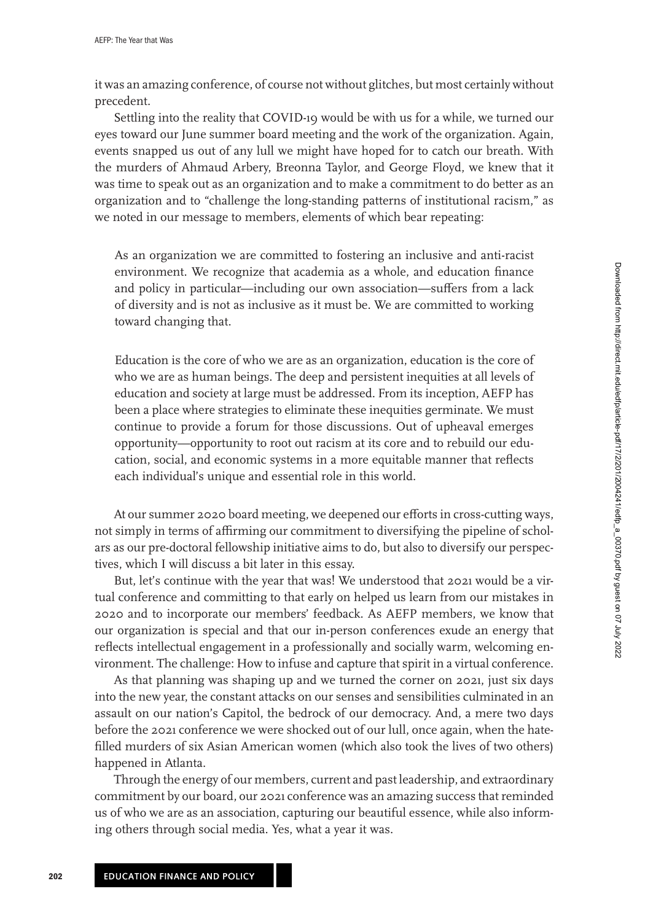it was an amazing conference, of course not without glitches, but most certainly without precedent.

Settling into the reality that COVID-19 would be with us for a while, we turned our eyes toward our June summer board meeting and the work of the organization. Again, events snapped us out of any lull we might have hoped for to catch our breath. With the murders of Ahmaud Arbery, Breonna Taylor, and George Floyd, we knew that it was time to speak out as an organization and to make a commitment to do better as an organization and to "challenge the long-standing patterns of institutional racism," as we noted in our message to members, elements of which bear repeating:

As an organization we are committed to fostering an inclusive and anti-racist environment. We recognize that academia as a whole, and education finance and policy in particular—including our own association—suffers from a lack of diversity and is not as inclusive as it must be. We are committed to working toward changing that.

Education is the core of who we are as an organization, education is the core of who we are as human beings. The deep and persistent inequities at all levels of education and society at large must be addressed. From its inception, AEFP has been a place where strategies to eliminate these inequities germinate. We must continue to provide a forum for those discussions. Out of upheaval emerges opportunity—opportunity to root out racism at its core and to rebuild our education, social, and economic systems in a more equitable manner that reflects each individual's unique and essential role in this world.

At our summer 2020 board meeting, we deepened our efforts in cross-cutting ways, not simply in terms of affirming our commitment to diversifying the pipeline of scholars as our pre-doctoral fellowship initiative aims to do, but also to diversify our perspectives, which I will discuss a bit later in this essay.

But, let's continue with the year that was! We understood that 2021 would be a virtual conference and committing to that early on helped us learn from our mistakes in 2020 and to incorporate our members' feedback. As AEFP members, we know that our organization is special and that our in-person conferences exude an energy that reflects intellectual engagement in a professionally and socially warm, welcoming environment. The challenge: How to infuse and capture that spirit in a virtual conference.

As that planning was shaping up and we turned the corner on 2021, just six days into the new year, the constant attacks on our senses and sensibilities culminated in an assault on our nation's Capitol, the bedrock of our democracy. And, a mere two days before the 2021 conference we were shocked out of our lull, once again, when the hatefilled murders of six Asian American women (which also took the lives of two others) happened in Atlanta.

Through the energy of our members, current and past leadership, and extraordinary commitment by our board, our 2021 conference was an amazing success that reminded us of who we are as an association, capturing our beautiful essence, while also informing others through social media. Yes, what a year it was.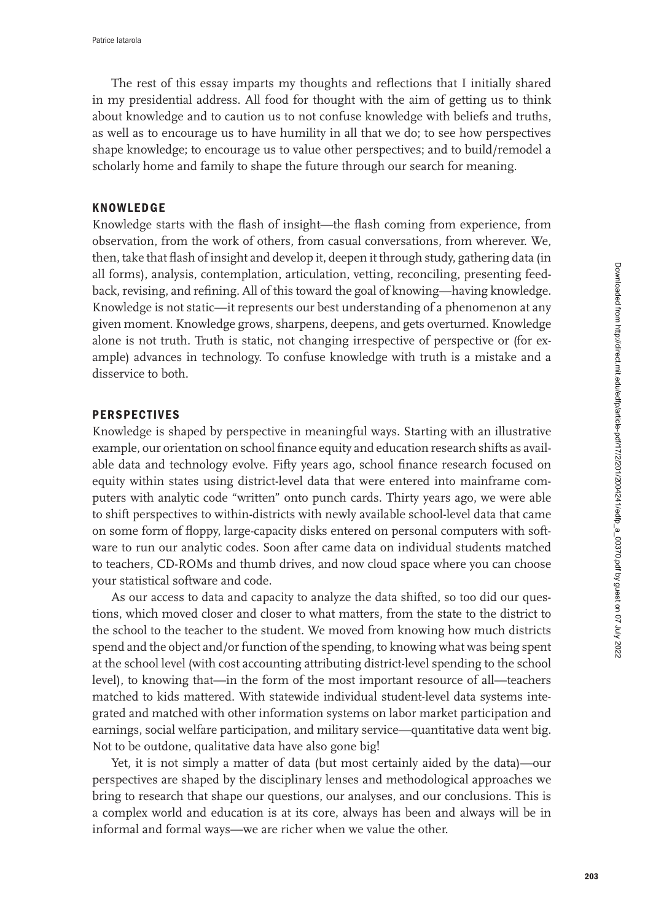The rest of this essay imparts my thoughts and reflections that I initially shared in my presidential address. All food for thought with the aim of getting us to think about knowledge and to caution us to not confuse knowledge with beliefs and truths, as well as to encourage us to have humility in all that we do; to see how perspectives shape knowledge; to encourage us to value other perspectives; and to build/remodel a scholarly home and family to shape the future through our search for meaning.

## **KNOWLEDGE**

Knowledge starts with the flash of insight—the flash coming from experience, from observation, from the work of others, from casual conversations, from wherever. We, then, take that flash of insight and develop it, deepen it through study, gathering data (in all forms), analysis, contemplation, articulation, vetting, reconciling, presenting feedback, revising, and refining. All of this toward the goal of knowing—having knowledge. Knowledge is not static—it represents our best understanding of a phenomenon at any given moment. Knowledge grows, sharpens, deepens, and gets overturned. Knowledge alone is not truth. Truth is static, not changing irrespective of perspective or (for example) advances in technology. To confuse knowledge with truth is a mistake and a disservice to both.

## **PERSPECTIVES**

Knowledge is shaped by perspective in meaningful ways. Starting with an illustrative example, our orientation on school finance equity and education research shifts as available data and technology evolve. Fifty years ago, school finance research focused on equity within states using district-level data that were entered into mainframe computers with analytic code "written" onto punch cards. Thirty years ago, we were able to shift perspectives to within-districts with newly available school-level data that came on some form of floppy, large-capacity disks entered on personal computers with software to run our analytic codes. Soon after came data on individual students matched to teachers, CD-ROMs and thumb drives, and now cloud space where you can choose your statistical software and code.

As our access to data and capacity to analyze the data shifted, so too did our questions, which moved closer and closer to what matters, from the state to the district to the school to the teacher to the student. We moved from knowing how much districts spend and the object and/or function of the spending, to knowing what was being spent at the school level (with cost accounting attributing district-level spending to the school level), to knowing that—in the form of the most important resource of all—teachers matched to kids mattered. With statewide individual student-level data systems integrated and matched with other information systems on labor market participation and earnings, social welfare participation, and military service—quantitative data went big. Not to be outdone, qualitative data have also gone big!

Yet, it is not simply a matter of data (but most certainly aided by the data)—our perspectives are shaped by the disciplinary lenses and methodological approaches we bring to research that shape our questions, our analyses, and our conclusions. This is a complex world and education is at its core, always has been and always will be in informal and formal ways—we are richer when we value the other.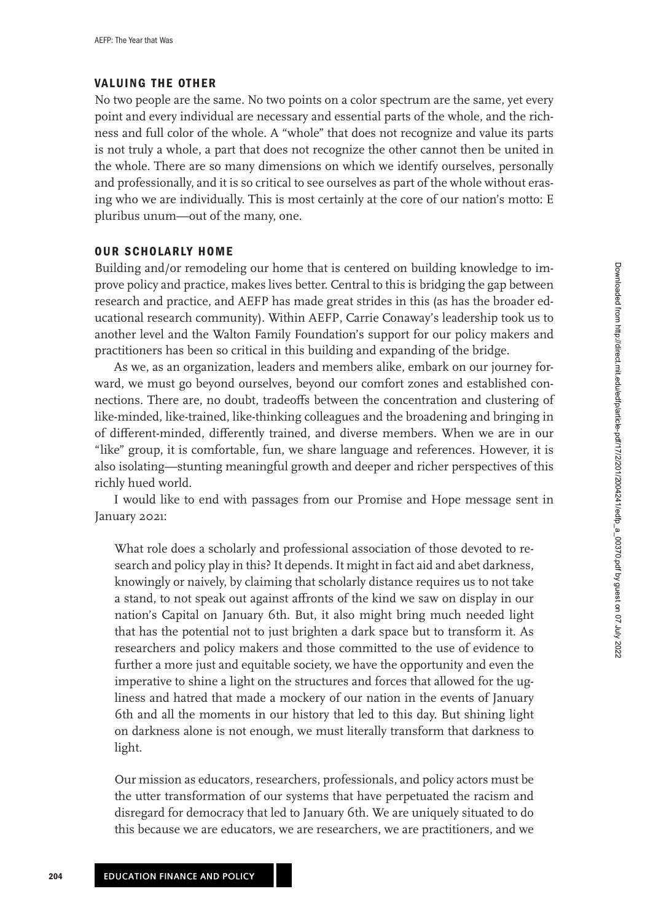## **VALUING THE OTHER**

No two people are the same. No two points on a color spectrum are the same, yet every point and every individual are necessary and essential parts of the whole, and the richness and full color of the whole. A "whole" that does not recognize and value its parts is not truly a whole, a part that does not recognize the other cannot then be united in the whole. There are so many dimensions on which we identify ourselves, personally and professionally, and it is so critical to see ourselves as part of the whole without erasing who we are individually. This is most certainly at the core of our nation's motto: E pluribus unum—out of the many, one.

## **OUR SCHOLARLY HOME**

Building and/or remodeling our home that is centered on building knowledge to improve policy and practice, makes lives better. Central to this is bridging the gap between research and practice, and AEFP has made great strides in this (as has the broader educational research community). Within AEFP, Carrie Conaway's leadership took us to another level and the Walton Family Foundation's support for our policy makers and practitioners has been so critical in this building and expanding of the bridge.

As we, as an organization, leaders and members alike, embark on our journey forward, we must go beyond ourselves, beyond our comfort zones and established connections. There are, no doubt, tradeoffs between the concentration and clustering of like-minded, like-trained, like-thinking colleagues and the broadening and bringing in of different-minded, differently trained, and diverse members. When we are in our "like" group, it is comfortable, fun, we share language and references. However, it is also isolating—stunting meaningful growth and deeper and richer perspectives of this richly hued world.

I would like to end with passages from our Promise and Hope message sent in January 2021:

What role does a scholarly and professional association of those devoted to research and policy play in this? It depends. It might in fact aid and abet darkness, knowingly or naively, by claiming that scholarly distance requires us to not take a stand, to not speak out against affronts of the kind we saw on display in our nation's Capital on January 6th. But, it also might bring much needed light that has the potential not to just brighten a dark space but to transform it. As researchers and policy makers and those committed to the use of evidence to further a more just and equitable society, we have the opportunity and even the imperative to shine a light on the structures and forces that allowed for the ugliness and hatred that made a mockery of our nation in the events of January 6th and all the moments in our history that led to this day. But shining light on darkness alone is not enough, we must literally transform that darkness to light.

Our mission as educators, researchers, professionals, and policy actors must be the utter transformation of our systems that have perpetuated the racism and disregard for democracy that led to January 6th. We are uniquely situated to do this because we are educators, we are researchers, we are practitioners, and we